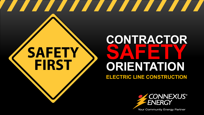# **SAFETY FIRST**

## **CONTRACTOR SAFETY ORIENTATION ELECTRIC LINE CONSTRUCTION**

<u> The Communication of the Communication of the Communication of the Communication of the Communication of the Communication of the Communication of the Communication of the Communication of the Communication of the Commun</u>



**Your Community Energy Partner**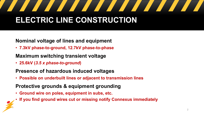#### <u>a shekara ta 1999 a shekara ta 1999 a shekara ta 1999 a shekara ta 1999 a shekara ta 1999 a shekara ta 1999 a </u> <u>a karatan ing Panganan di Bandar Bandar Bandar Bandar Bandar Bandar Bandar Bandar Bandar Bandar Bandar Bandar</u> **ELECTRIC LINE CONSTRUCTION**

#### **Nominal voltage of lines and equipment**

• **7.3kV phase-to-ground, 12.7kV phase-to-phase**

### **Maximum switching transient voltage**

• **25.6kV (***3.5 x phase-to-ground***)**

#### **Presence of hazardous induced voltages**

• **Possible on underbuilt lines or adjacent to transmission lines**

#### **Protective grounds & equipment grounding**

- **Ground wire on poles, equipment in subs, etc.**
- **If you find ground wires cut or missing notify Connexus immediately**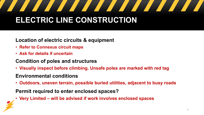### <u> Santa Carlo de Santa Carlo de Santa Carlo de Santa Carlo de Santa Carlo de Santa Carlo de Santa Carlo de San</u> <u>a karatan ing Panganan di Bandar Bandar Bandar Bandar Bandar Bandar Bandar Bandar Bandar Bandar Bandar Bandar</u> **ELECTRIC LINE CONSTRUCTION**

#### **Location of electric circuits & equipment**

- **Refer to Connexus circuit maps**
- **Ask for details if uncertain**

#### **Condition of poles and structures**

• **Visually inspect before climbing. Unsafe poles are marked with red tag** 

#### **Environmental conditions**

• **Outdoors, uneven terrain, possible buried utilities, adjacent to busy roads**

#### **Permit required to enter enclosed spaces?**

• **Very Limited – will be advised if work involves enclosed spaces**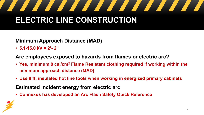### <u> The Books of the Books of the Books of the Books of the Books of the Books of the Books of the Books of the Books of the Books of the Books of the Books of the Books of the Books of the Books of the Books of the Books of</u> <u> Tanzania de la propincia de la propincia de la propincia de la propincia de la propincia de la propincia de la propincia de la propincia de la propincia de la propincia de la propincia de la propincia de la propincia de </u> **ELECTRIC LINE CONSTRUCTION**

#### **Minimum Approach Distance (MAD)**

• **5.1-15.0 kV = 2'- 2"**

#### **Are employees exposed to hazards from flames or electric arc?**

- **Yes, minimum 8 cal/cm2 Flame Resistant clothing required if working within the minimum approach distance (MAD)**
- **Use 8 ft. insulated hot line tools when working in energized primary cabinets**
- **Estimated incident energy from electric arc**
- **Connexus has developed an Arc Flash Safety Quick Reference**

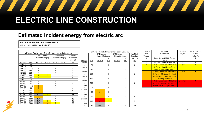## <u> The Communication of the Communication of the Communication of the Communication of the Communication of the Communication of the Communication of the Communication of the Communication of the Communication of the Commun</u>

## **ELECTRIC LINE CONSTRUCTION**

### **Estimated incident energy from electric arc**

#### **ARC FLASH SAFETY QUICK REFERENCE**

with and without Hot Line Tool (HLT)

|         |                                               |                 |                   |                 |        |                        | 3 Ph Pole-Mounted Transformer Hazard Category |     |                        |                |                        |            |                | Hazard                   | Clothing                             | Clothing   | Min Arc Rating         |
|---------|-----------------------------------------------|-----------------|-------------------|-----------------|--------|------------------------|-----------------------------------------------|-----|------------------------|----------------|------------------------|------------|----------------|--------------------------|--------------------------------------|------------|------------------------|
|         | 3 Phase Pad-mount Transformer Hazard Category |                 |                   |                 |        |                        |                                               |     | 15" Distance           |                | 8' Distance            |            | Arc Flash      | <b>Risk</b>              | Description                          | Layers     | of PPE                 |
|         |                                               | 15" Distance    |                   | 8' Distance     |        | Arc Flash              |                                               |     | <b>Hazard Category</b> |                | <b>Hazard Category</b> |            | Boundary       | Category                 |                                      |            | (cal/cm <sup>2</sup> ) |
|         |                                               | Hazard Category |                   | Hazard Category |        | Boundary               |                                               |     |                        | w/             |                        | w/         | w/o HLT        | $\Omega$                 | Long Sleeve Shirt & Denim            |            | $\Omega$               |
|         |                                               |                 |                   |                 |        | w/o HLT                | Voltage                                       | kVA | w/o HLT                | <b>HLT</b>     | w/o HLT                | <b>HLT</b> | (Ft)           |                          | Jeans                                |            |                        |
| Voltage | kVA                                           | w/o HLT         | w/ HLT            | w/o HLT         | w/ HLT | (Ft)                   | 120/20                                        |     |                        |                |                        |            |                |                          | FR Shirt & Pants + Hard Hat          |            |                        |
| 120/208 | 45                                            |                 |                   |                 |        | 2                      |                                               | 75  |                        |                |                        |            | 2              | $\overline{2}$           | <b>Cotton Underwear + FR Shirt</b>   | $1$ or $2$ | $\mathbf{8}$           |
| 120/208 | 75                                            |                 |                   |                 |        | $\overline{2}$         | 120/20                                        |     |                        |                |                        |            |                |                          | & Pants + Hard Hat & Face            |            |                        |
| 120/208 | 112.5                                         |                 |                   |                 |        | 3                      | 8                                             | 150 |                        |                |                        |            | 2              |                          | <b>Shield + Hearing Protection</b>   |            |                        |
| 120/208 | 150                                           |                 |                   |                 |        | 3                      | 120/20                                        |     |                        |                |                        |            |                | 3                        | <b>Cotton Underwear + FR Shirt</b>   | $2$ or $3$ | 25                     |
| 120/208 | 225                                           |                 |                   |                 |        | 3                      |                                               | 300 |                        |                |                        |            | 2              |                          | & Pants + FR Coverall + Hard         |            |                        |
| 120/208 | 300                                           | $\overline{2}$  | $\overline{2}$    |                 |        |                        | 120/20                                        |     |                        |                |                        |            |                |                          | Hat & HRC 3 Flash Suit Hood          |            |                        |
| 120/208 | 500                                           | $\overline{2}$  | $\overline{2}$    |                 |        | $\boldsymbol{\Lambda}$ |                                               |     |                        |                |                        |            |                |                          |                                      |            |                        |
| 120/208 | 750                                           |                 |                   |                 |        | 3                      |                                               | 500 |                        |                |                        |            | 2              |                          | + Hearing Protection                 |            |                        |
| 277/480 | 45                                            |                 |                   |                 |        |                        | 120/20                                        |     |                        |                |                        |            |                | $\boldsymbol{\varDelta}$ | <b>Cotton Underwear + FR Shirt</b>   | 3 or more  | 40                     |
| 277/480 | 75                                            |                 |                   |                 |        | $\overline{2}$         |                                               | 750 |                        |                |                        |            | 2              |                          | & Pants + HRC 4 Flash Suit +         |            |                        |
| 277/480 | 112.5                                         | $\mathbf{3}$    |                   |                 |        | 5                      | 277/48                                        |     |                        |                |                        |            |                |                          | <b>Hard Hat + Hearing Protection</b> |            |                        |
| 277/480 | 150                                           | $\overline{3}$  |                   |                 |        | 5                      |                                               | 75  |                        |                |                        |            | $\overline{2}$ |                          |                                      |            |                        |
| 277/480 | 225                                           | 3               |                   |                 |        | 10                     | 277/48                                        |     |                        |                |                        |            |                |                          |                                      |            |                        |
| 277/480 | 300                                           | $\mathbf{3}$    |                   |                 |        | 9                      |                                               | 150 | 3                      |                |                        |            |                |                          |                                      |            |                        |
| 277/480 | 500                                           | N/A             | $\overline{2}$    |                 |        | 18                     | 277/48                                        |     |                        |                |                        |            |                |                          |                                      |            |                        |
| 277/480 | 750                                           | 3               |                   |                 |        | 8                      |                                               | 300 | $\overline{3}$         |                |                        |            | 5              |                          |                                      |            |                        |
| 277/480 | 1000                                          | N/A             |                   |                 |        | 15                     | 277/48                                        |     |                        |                |                        |            |                |                          |                                      |            |                        |
| 277/480 | 1500                                          | N/A             | 2 <sup>1</sup>    |                 |        | 18                     | 0                                             | 500 |                        | $\overline{2}$ |                        |            |                |                          |                                      |            |                        |
| 277/480 | 2000                                          | N/A             | $\mathbf{\Omega}$ | 2 <sup>1</sup>  |        | 23                     | 277/48                                        |     |                        |                |                        |            |                |                          |                                      |            |                        |
|         |                                               |                 |                   |                 |        |                        |                                               | 750 | N/A                    |                |                        |            | 10             |                          |                                      |            |                        |

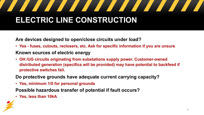### <u> The Books of the Books of the Books of the Books of the Books of the Books of the Books of the Books of the Books of the Books of the Books of the Books of the Books of the Books of the Books of the Books of the Books of</u> **ELECTRIC LINE CONSTRUCTION**

**Are devices designed to open/close circuits under load?** 

- **Yes - fuses, cutouts, reclosers, etc. Ask for specific information if you are unsure Known sources of electric energy**
- **OH /UG circuits originating from substations supply power. Customer-owned distributed generation (specifics will be provided) may have potential to backfeed if protective switches fail.**

**Do protective grounds have adequate current carrying capacity?** 

• **Yes, minimum 1/0 for personal grounds**

**Possible hazardous transfer of potential if fault occurs?** 

• **Yes, less than 10kA**